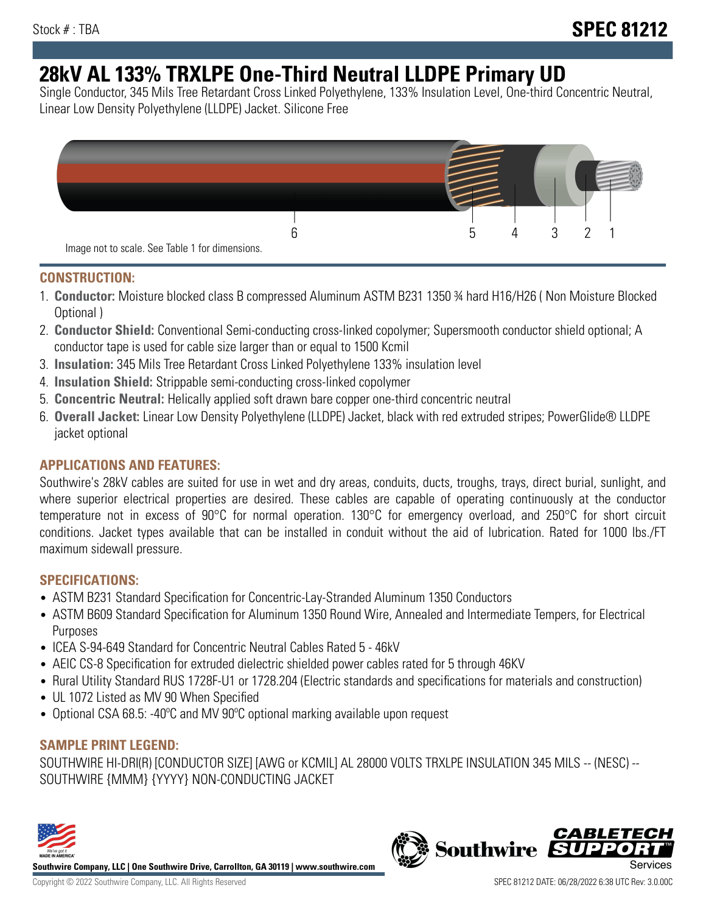# **28kV AL 133% TRXLPE One-Third Neutral LLDPE Primary UD**

Single Conductor, 345 Mils Tree Retardant Cross Linked Polyethylene, 133% Insulation Level, One-third Concentric Neutral, Linear Low Density Polyethylene (LLDPE) Jacket. Silicone Free



### **CONSTRUCTION:**

- 1. **Conductor:** Moisture blocked class B compressed Aluminum ASTM B231 1350 ¾ hard H16/H26 ( Non Moisture Blocked Optional )
- 2. **Conductor Shield:** Conventional Semi-conducting cross-linked copolymer; Supersmooth conductor shield optional; A conductor tape is used for cable size larger than or equal to 1500 Kcmil
- 3. **Insulation:** 345 Mils Tree Retardant Cross Linked Polyethylene 133% insulation level
- 4. **Insulation Shield:** Strippable semi-conducting cross-linked copolymer
- 5. **Concentric Neutral:** Helically applied soft drawn bare copper one-third concentric neutral
- 6. **Overall Jacket:** Linear Low Density Polyethylene (LLDPE) Jacket, black with red extruded stripes; PowerGlide® LLDPE jacket optional

## **APPLICATIONS AND FEATURES:**

Southwire's 28kV cables are suited for use in wet and dry areas, conduits, ducts, troughs, trays, direct burial, sunlight, and where superior electrical properties are desired. These cables are capable of operating continuously at the conductor temperature not in excess of 90°C for normal operation. 130°C for emergency overload, and 250°C for short circuit conditions. Jacket types available that can be installed in conduit without the aid of lubrication. Rated for 1000 lbs./FT maximum sidewall pressure.

#### **SPECIFICATIONS:**

- ASTM B231 Standard Specification for Concentric-Lay-Stranded Aluminum 1350 Conductors
- ASTM B609 Standard Specification for Aluminum 1350 Round Wire, Annealed and Intermediate Tempers, for Electrical Purposes
- ICEA S-94-649 Standard for Concentric Neutral Cables Rated 5 46kV
- AEIC CS-8 Specification for extruded dielectric shielded power cables rated for 5 through 46KV
- Rural Utility Standard RUS 1728F-U1 or 1728.204 (Electric standards and specifications for materials and construction)
- UL 1072 Listed as MV 90 When Specified
- Optional CSA 68.5: -40ºC and MV 90ºC optional marking available upon request

#### **SAMPLE PRINT LEGEND:**

SOUTHWIRE HI-DRI(R) [CONDUCTOR SIZE] [AWG or KCMIL] AL 28000 VOLTS TRXLPE INSULATION 345 MILS -- (NESC) -- SOUTHWIRE {MMM} {YYYY} NON-CONDUCTING JACKET



**Southwire Company, LLC | One Southwire Drive, Carrollton, GA 30119 | www.southwire.com**